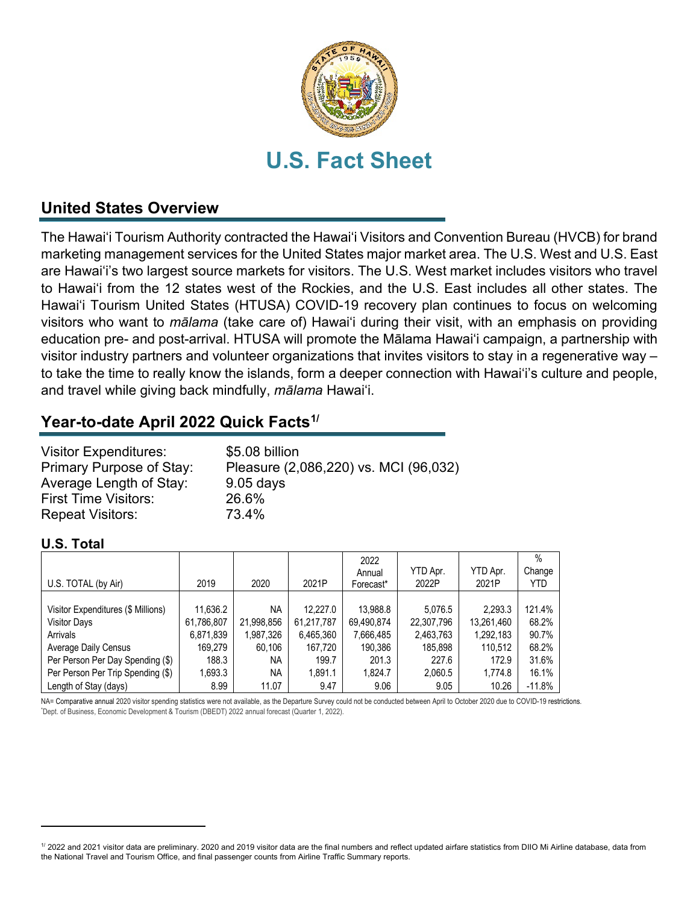

## **United States Overview**

The Hawai'i Tourism Authority contracted the Hawai'i Visitors and Convention Bureau (HVCB) for brand marketing management services for the United States major market area. The U.S. West and U.S. East are Hawai'i's two largest source markets for visitors. The U.S. West market includes visitors who travel to Hawai'i from the 12 states west of the Rockies, and the U.S. East includes all other states. The Hawai'i Tourism United States (HTUSA) COVID-19 recovery plan continues to focus on welcoming visitors who want to *mālama* (take care of) Hawai'i during their visit, with an emphasis on providing education pre- and post-arrival. HTUSA will promote the Mālama Hawai'i campaign, a partnership with visitor industry partners and volunteer organizations that invites visitors to stay in a regenerative way – to take the time to really know the islands, form a deeper connection with Hawai'i's culture and people, and travel while giving back mindfully, *mālama* Hawai'i.

## **Year-to-date April 2022 Quick Facts[1](#page-0-0)/**

| <b>Visitor Expenditures:</b> | \$5.08 billion                        |
|------------------------------|---------------------------------------|
| Primary Purpose of Stay:     | Pleasure (2,086,220) vs. MCI (96,032) |
| Average Length of Stay:      | $9.05$ days                           |
| <b>First Time Visitors:</b>  | 26.6%                                 |
| <b>Repeat Visitors:</b>      | 73.4%                                 |

### **U.S. Total**

|                                    |            |            |            | 2022<br>Annual | YTD Apr.   | YTD Apr.   | $\%$<br>Change |
|------------------------------------|------------|------------|------------|----------------|------------|------------|----------------|
| U.S. TOTAL (by Air)                | 2019       | 2020       | 2021P      | Forecast*      | 2022P      | 2021P      | YTD            |
|                                    |            |            |            |                |            |            |                |
| Visitor Expenditures (\$ Millions) | 11.636.2   | NA         | 12.227.0   | 13,988.8       | 5.076.5    | 2,293.3    | 121.4%         |
| <b>Visitor Days</b>                | 61,786,807 | 21,998,856 | 61,217,787 | 69,490,874     | 22,307,796 | 13,261,460 | 68.2%          |
| Arrivals                           | 6,871,839  | 1,987,326  | 6,465,360  | 7,666,485      | 2,463,763  | 1,292,183  | 90.7%          |
| Average Daily Census               | 169.279    | 60.106     | 167,720    | 190,386        | 185,898    | 110,512    | 68.2%          |
| Per Person Per Day Spending (\$)   | 188.3      | ΝA         | 199.7      | 201.3          | 227.6      | 172.9      | 31.6%          |
| Per Person Per Trip Spending (\$)  | 1,693.3    | NA         | 1.891.1    | 1,824.7        | 2,060.5    | 1,774.8    | 16.1%          |
| Length of Stay (days)              | 8.99       | 11.07      | 9.47       | 9.06           | 9.05       | 10.26      | $-11.8%$       |

NA= Comparative annual 2020 visitor spending statistics were not available, as the Departure Survey could not be conducted between April to October 2020 due to COVID-19 restrictions. Dept. of Business, Economic Development & Tourism (DBEDT) 2022 annual forecast (Quarter 1, 2022).

<span id="page-0-0"></span><sup>1/ 2022</sup> and 2021 visitor data are preliminary. 2020 and 2019 visitor data are the final numbers and reflect updated airfare statistics from DIIO Mi Airline database, data from the National Travel and Tourism Office, and final passenger counts from Airline Traffic Summary reports.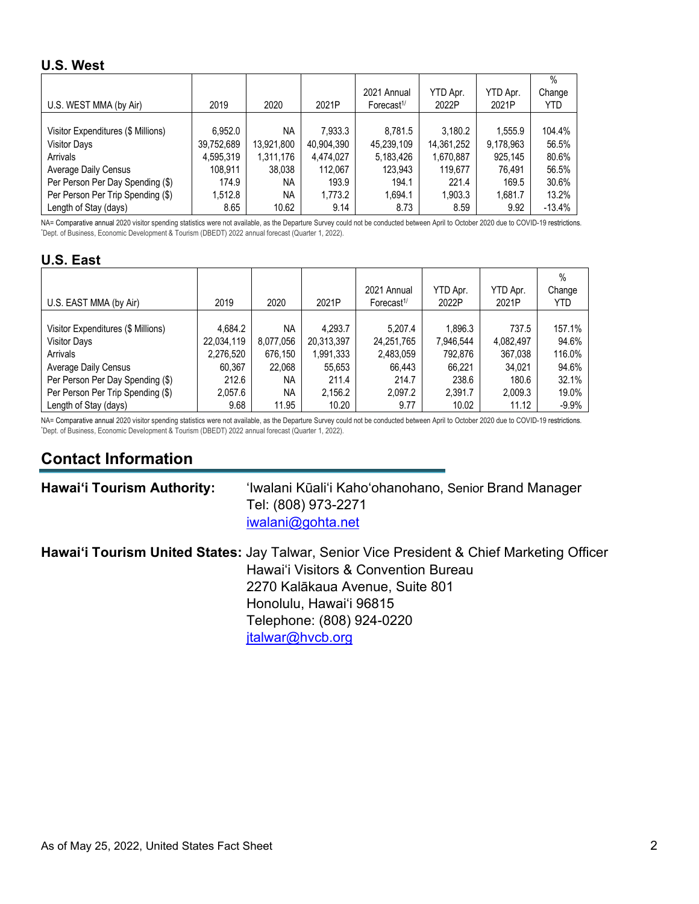### **U.S. West**

|                                    |            |            |            |                        |            |           | $\%$     |
|------------------------------------|------------|------------|------------|------------------------|------------|-----------|----------|
|                                    |            |            |            | 2021 Annual            | YTD Apr.   | YTD Apr.  | Change   |
| U.S. WEST MMA (by Air)             | 2019       | 2020       | 2021P      | Forecast <sup>1/</sup> | 2022P      | 2021P     | YTD      |
|                                    |            |            |            |                        |            |           |          |
| Visitor Expenditures (\$ Millions) | 6.952.0    | <b>NA</b>  | 7,933.3    | 8,781.5                | 3,180.2    | 1.555.9   | 104.4%   |
| <b>Visitor Days</b>                | 39,752,689 | 13,921,800 | 40,904,390 | 45,239,109             | 14,361,252 | 9,178,963 | 56.5%    |
| Arrivals                           | 4,595,319  | 1,311,176  | 4,474,027  | 5,183,426              | 1,670,887  | 925,145   | 80.6%    |
| Average Daily Census               | 108,911    | 38,038     | 112,067    | 123,943                | 119,677    | 76.491    | 56.5%    |
| Per Person Per Day Spending (\$)   | 174.9      | NA         | 193.9      | 194.1                  | 221.4      | 169.5     | 30.6%    |
| Per Person Per Trip Spending (\$)  | 1,512.8    | <b>NA</b>  | 1,773.2    | 1,694.1                | 1,903.3    | 1,681.7   | 13.2%    |
| Length of Stay (days)              | 8.65       | 10.62      | 9.14       | 8.73                   | 8.59       | 9.92      | $-13.4%$ |

NA= Comparative annual 2020 visitor spending statistics were not available, as the Departure Survey could not be conducted between April to October 2020 due to COVID-19 restrictions. Dept. of Business, Economic Development & Tourism (DBEDT) 2022 annual forecast (Quarter 1, 2022).

### **U.S. East**

|                                    |            |           |            |                                     |           |           | %          |
|------------------------------------|------------|-----------|------------|-------------------------------------|-----------|-----------|------------|
|                                    |            |           |            | 2021 Annual                         | YTD Apr.  | YTD Apr.  | Change     |
| U.S. EAST MMA (by Air)             | 2019       | 2020      | 2021P      | Forecast <sup><math>1/</math></sup> | 2022P     | 2021P     | <b>YTD</b> |
|                                    |            |           |            |                                     |           |           |            |
| Visitor Expenditures (\$ Millions) | 4,684.2    | <b>NA</b> | 4.293.7    | 5.207.4                             | 1,896.3   | 737.5     | 157.1%     |
| <b>Visitor Days</b>                | 22,034,119 | 8,077,056 | 20,313,397 | 24,251,765                          | 7,946,544 | 4,082,497 | 94.6%      |
| Arrivals                           | 2,276,520  | 676.150   | 1,991,333  | 2,483,059                           | 792.876   | 367.038   | 116.0%     |
| Average Daily Census               | 60,367     | 22.068    | 55,653     | 66.443                              | 66.221    | 34.021    | 94.6%      |
| Per Person Per Day Spending (\$)   | 212.6      | <b>NA</b> | 211.4      | 214.7                               | 238.6     | 180.6     | 32.1%      |
| Per Person Per Trip Spending (\$)  | 2,057.6    | <b>NA</b> | 2.156.2    | 2.097.2                             | 2.391.7   | 2,009.3   | 19.0%      |
| Length of Stay (days)              | 9.68       | 11.95     | 10.20      | 9.77                                | 10.02     | 11.12     | $-9.9%$    |

NA= Comparative annual 2020 visitor spending statistics were not available, as the Departure Survey could not be conducted between April to October 2020 due to COVID-19 restrictions. Dept. of Business, Economic Development & Tourism (DBEDT) 2022 annual forecast (Quarter 1, 2022).

# **Contact Information**

| <b>Hawai'i Tourism Authority:</b> | 'Iwalani Kūali'i Kaho'ohanohano, Senior Brand Manager |
|-----------------------------------|-------------------------------------------------------|
|                                   | Tel: (808) 973-2271                                   |
|                                   | $i$ walan $i$ @gohta.net                              |
|                                   |                                                       |

**Hawai'i Tourism United States:** Jay Talwar, Senior Vice President & Chief Marketing Officer Hawai'i Visitors & Convention Bureau 2270 Kalākaua Avenue, Suite 801 Honolulu, Hawai'i 96815 Telephone: (808) 924-0220 [jtalwar@hvcb.org](mailto:jtalwar@hvcb.org)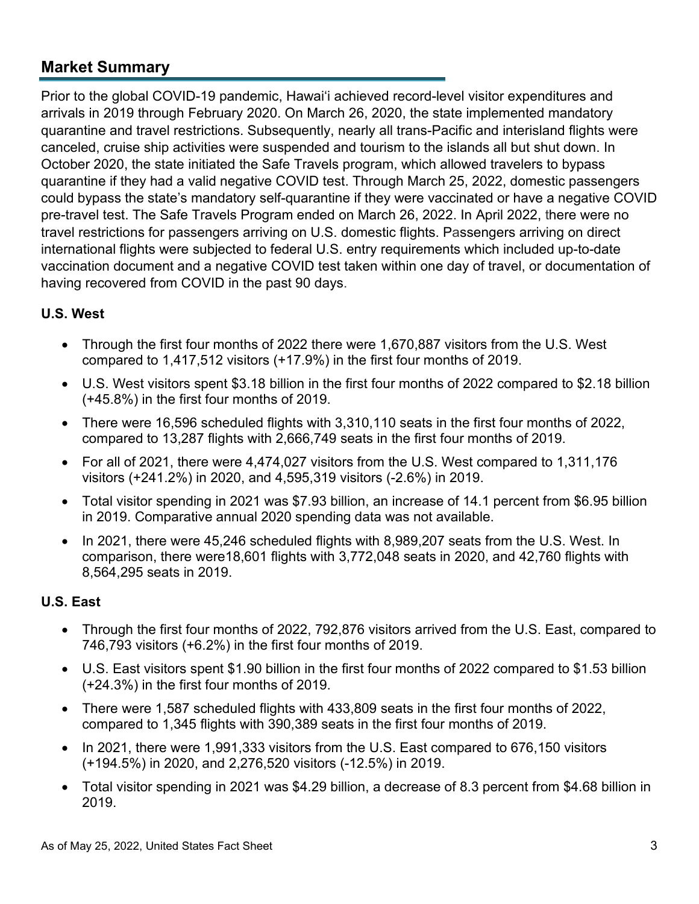## **Market Summary**

Prior to the global COVID-19 pandemic, Hawai'i achieved record-level visitor expenditures and arrivals in 2019 through February 2020. On March 26, 2020, the state implemented mandatory quarantine and travel restrictions. Subsequently, nearly all trans-Pacific and interisland flights were canceled, cruise ship activities were suspended and tourism to the islands all but shut down. In October 2020, the state initiated the Safe Travels program, which allowed travelers to bypass quarantine if they had a valid negative COVID test. Through March 25, 2022, domestic passengers could bypass the state's mandatory self-quarantine if they were vaccinated or have a negative COVID pre-travel test. The Safe Travels Program ended on March 26, 2022. In April 2022, there were no travel restrictions for passengers arriving on U.S. domestic flights. Passengers arriving on direct international flights were subjected to federal U.S. entry requirements which included up-to-date vaccination document and a negative COVID test taken within one day of travel, or documentation of having recovered from COVID in the past 90 days.

## **U.S. West**

- Through the first four months of 2022 there were 1,670,887 visitors from the U.S. West compared to 1,417,512 visitors (+17.9%) in the first four months of 2019.
- U.S. West visitors spent \$3.18 billion in the first four months of 2022 compared to \$2.18 billion (+45.8%) in the first four months of 2019.
- There were 16,596 scheduled flights with 3,310,110 seats in the first four months of 2022, compared to 13,287 flights with 2,666,749 seats in the first four months of 2019.
- For all of 2021, there were 4,474,027 visitors from the U.S. West compared to 1,311,176 visitors (+241.2%) in 2020, and 4,595,319 visitors (-2.6%) in 2019.
- Total visitor spending in 2021 was \$7.93 billion, an increase of 14.1 percent from \$6.95 billion in 2019. Comparative annual 2020 spending data was not available.
- In 2021, there were 45,246 scheduled flights with 8,989,207 seats from the U.S. West. In comparison, there were18,601 flights with 3,772,048 seats in 2020, and 42,760 flights with 8,564,295 seats in 2019.

## **U.S. East**

- Through the first four months of 2022, 792,876 visitors arrived from the U.S. East, compared to 746,793 visitors (+6.2%) in the first four months of 2019.
- U.S. East visitors spent \$1.90 billion in the first four months of 2022 compared to \$1.53 billion (+24.3%) in the first four months of 2019.
- There were 1,587 scheduled flights with 433,809 seats in the first four months of 2022, compared to 1,345 flights with 390,389 seats in the first four months of 2019.
- In 2021, there were 1,991,333 visitors from the U.S. East compared to 676,150 visitors (+194.5%) in 2020, and 2,276,520 visitors (-12.5%) in 2019.
- Total visitor spending in 2021 was \$4.29 billion, a decrease of 8.3 percent from \$4.68 billion in 2019.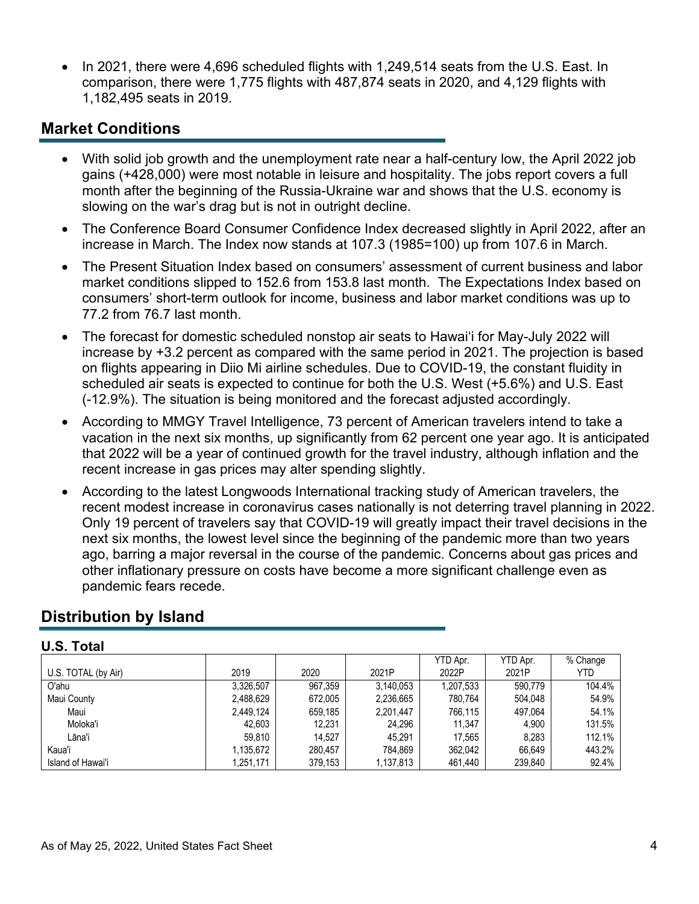• In 2021, there were 4,696 scheduled flights with 1,249,514 seats from the U.S. East. In comparison, there were 1,775 flights with 487,874 seats in 2020, and 4,129 flights with 1,182,495 seats in 2019.

## **Market Conditions**

- With solid job growth and the unemployment rate near a half-century low, the April 2022 job gains (+428,000) were most notable in leisure and hospitality. The jobs report covers a full month after the beginning of the Russia-Ukraine war and shows that the U.S. economy is slowing on the war's drag but is not in outright decline.
- The Conference Board Consumer Confidence Index decreased slightly in April 2022, after an increase in March. The Index now stands at 107.3 (1985=100) up from 107.6 in March.
- The Present Situation Index based on consumers' assessment of current business and labor market conditions slipped to 152.6 from 153.8 last month. The Expectations Index based on consumers' short-term outlook for income, business and labor market conditions was up to 77.2 from 76.7 last month.
- The forecast for domestic scheduled nonstop air seats to Hawai'i for May-July 2022 will increase by +3.2 percent as compared with the same period in 2021. The projection is based on flights appearing in Diio Mi airline schedules. Due to COVID-19, the constant fluidity in scheduled air seats is expected to continue for both the U.S. West (+5.6%) and U.S. East (-12.9%). The situation is being monitored and the forecast adjusted accordingly.
- According to MMGY Travel Intelligence, 73 percent of American travelers intend to take a vacation in the next six months, up significantly from 62 percent one year ago. It is anticipated that 2022 will be a year of continued growth for the travel industry, although inflation and the recent increase in gas prices may alter spending slightly.
- According to the latest Longwoods International tracking study of American travelers, the recent modest increase in coronavirus cases nationally is not deterring travel planning in 2022. Only 19 percent of travelers say that COVID-19 will greatly impact their travel decisions in the next six months, the lowest level since the beginning of the pandemic more than two years ago, barring a major reversal in the course of the pandemic. Concerns about gas prices and other inflationary pressure on costs have become a more significant challenge even as pandemic fears recede.

## **Distribution by Island**

| U.S. Total |
|------------|
|            |

|                     |           |         |           | YTD Apr.  | YTD Apr. | % Change |
|---------------------|-----------|---------|-----------|-----------|----------|----------|
| U.S. TOTAL (by Air) | 2019      | 2020    | 2021P     | 2022P     | 2021P    | YTD      |
| O'ahu               | 3.326.507 | 967.359 | 3.140.053 | 1,207,533 | 590.779  | 104.4%   |
| Maui County         | 2,488,629 | 672.005 | 2,236,665 | 780.764   | 504.048  | 54.9%    |
| Maui                | 2,449,124 | 659.185 | 2,201,447 | 766.115   | 497.064  | 54.1%    |
| Moloka'i            | 42,603    | 12,231  | 24,296    | 11.347    | 4.900    | 131.5%   |
| Lāna'i              | 59.810    | 14.527  | 45.291    | 17.565    | 8.283    | 112.1%   |
| Kaua'i              | 1.135.672 | 280,457 | 784.869   | 362.042   | 66.649   | 443.2%   |
| Island of Hawai'i   | 1,251,171 | 379,153 | 1,137,813 | 461,440   | 239.840  | 92.4%    |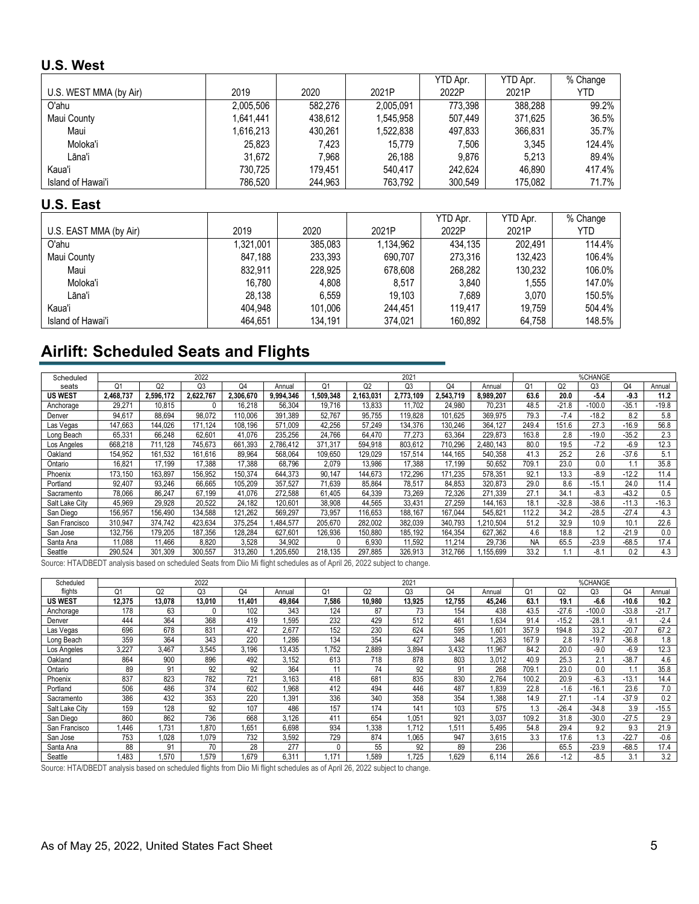### **U.S. West**

|                        |           |         |           | YTD Apr. | YTD Apr. | % Change |
|------------------------|-----------|---------|-----------|----------|----------|----------|
| U.S. WEST MMA (by Air) | 2019      | 2020    | 2021P     | 2022P    | 2021P    | YTD      |
| O'ahu                  | 2,005,506 | 582.276 | 2,005,091 | 773.398  | 388.288  | 99.2%    |
| Maui County            | 1,641,441 | 438.612 | 1.545.958 | 507.449  | 371.625  | 36.5%    |
| Maui                   | 1.616.213 | 430.261 | 1,522,838 | 497,833  | 366.831  | 35.7%    |
| Moloka'i               | 25,823    | 7.423   | 15.779    | 7.506    | 3.345    | 124.4%   |
| Lāna'i                 | 31.672    | 7.968   | 26.188    | 9.876    | 5.213    | 89.4%    |
| Kaua'i                 | 730.725   | 179.451 | 540.417   | 242.624  | 46.890   | 417.4%   |
| Island of Hawai'i      | 786,520   | 244,963 | 763,792   | 300.549  | 175.082  | 71.7%    |

### **U.S. East**

|                        |           |         |           | YTD Apr. | YTD Apr. | % Change |
|------------------------|-----------|---------|-----------|----------|----------|----------|
| U.S. EAST MMA (by Air) | 2019      | 2020    | 2021P     | 2022P    | 2021P    | YTD      |
| O'ahu                  | 1,321,001 | 385.083 | 1.134.962 | 434.135  | 202.491  | 114.4%   |
| Maui County            | 847.188   | 233.393 | 690.707   | 273.316  | 132.423  | 106.4%   |
| Maui                   | 832.911   | 228.925 | 678.608   | 268.282  | 130,232  | 106.0%   |
| Moloka'i               | 16.780    | 4.808   | 8,517     | 3.840    | 1.555    | 147.0%   |
| Lāna'i                 | 28.138    | 6.559   | 19.103    | 7.689    | 3.070    | 150.5%   |
| Kaua'i                 | 404.948   | 101.006 | 244.451   | 119.417  | 19.759   | 504.4%   |
| Island of Hawai'i      | 464,651   | 134,191 | 374,021   | 160,892  | 64,758   | 148.5%   |

# **Airlift: Scheduled Seats and Flights**

| Scheduled      |           |              | 2022      |           |           |                |           | 2021           |           |           | %CHANGE        |                |          |         |         |  |
|----------------|-----------|--------------|-----------|-----------|-----------|----------------|-----------|----------------|-----------|-----------|----------------|----------------|----------|---------|---------|--|
| seats          | 01        | Q2           | Q3        | Q4        | Annual    | Q <sub>1</sub> | Q2        | Q <sub>3</sub> | Q4        | Annual    | O <sub>1</sub> | Q <sub>2</sub> | Q3       | Q4      | Annual  |  |
| <b>US WEST</b> | 2.468.737 | 2.596.172    | 2.622.767 | 2.306.670 | 9.994.346 | 1.509.348      | 2.163.03' | 2.773.109      | 2.543.719 | 8.989.207 | 63.6           | 20.0           | $-5.4$   | $-9.3$  | 11.2    |  |
| Anchorage      | 29.271    | 10.815       | 0         | 16.218    | 56.304    | 19.716         | 13.833    | 11.702         | 24.980    | 70.231    | 48.5           | $-21.8$        | $-100.0$ | $-35.1$ | $-19.8$ |  |
| Denver         | 94,617    | 88.694       | 98.072    | 110.006   | 391.389   | 52.767         | 95.755    | 119.828        | 101.625   | 369.975   | 79.3           | $-7.4$         | $-18.2$  | 8.2     | 5.8     |  |
| Las Vegas      | 147.663   | 144.026      | 171.124   | 108.196   | 571.009   | 42.256         | 57.249    | 134.376        | 130.246   | 364.127   | 249.4          | 151.6          | 27.3     | $-16.9$ | 56.8    |  |
| Long Beach     | 65,331    | 66.248       | 62,601    | 41.076    | 235.256   | 24.766         | 64.470    | 77.273         | 63.364    | 229.873   | 163.8          | 2.8            | $-19.0$  | $-35.2$ | 2.3     |  |
| Los Angeles    | 668.218   | .128         | 745.673   | 661.393   | 2.786.412 | 371.317        | 594,918   | 803,612        | 710.296   | 2.480.143 | 80.0           | 19.5           | $-7.2$   | $-6.9$  | 12.3    |  |
| Oakland        | 154,952   | 161.532      | 161,616   | 89,964    | 568,064   | 109.650        | 129.029   | 157,514        | 144.165   | 540.358   | 41.3           | 25.2           | 2.6      | $-37.6$ | 5.1     |  |
| Ontario        | 16.821    | 17.199       | 17.388    | 17.388    | 68.796    | 2.079          | 13.986    | 17.388         | 17.199    | 50,652    | 709.1          | 23.0           | 0.0      |         | 35.8    |  |
| Phoenix        | 173.150   | 163.897      | 156.952   | 150.374   | 644.373   | 90.147         | 144.673   | 172.296        | 171.235   | 578.351   | 92.1           | 13.3           | $-8.9$   | $-12.2$ | 11.4    |  |
| Portland       | 92,407    | 93.246       | 66,665    | 105.209   | 357.527   | 71.639         | 85.864    | 78.517         | 84.853    | 320.873   | 29.0           | 8.6            | $-15.1$  | 24.0    | 11.4    |  |
| Sacramento     | 78.066    | 86.247       | 67.199    | 41.076    | 272,588   | 61.405         | 64.339    | 73.269         | 72.326    | 271.339   | 27.1           | 34.7           | $-8.3$   | $-43.2$ | 0.5     |  |
| Salt Lake City | 45,969    | 29.928       | 20.522    | 24.182    | 120.601   | 38,908         | 44.565    | 33.431         | 27.259    | 144.163   | 18.1           | $-32.8$        | $-38.6$  | $-11.3$ | $-16.3$ |  |
| San Diego      | 156.957   | 156.490      | 134,588   | 121,262   | 569,297   | 73.957         | 116.653   | 188.167        | 167.044   | 545.821   | 112.2          | 34.2           | $-28.5$  | $-27.4$ | 4.3     |  |
| San Francisco  | 310,947   | 374.742      | 423.634   | 375.254   | 484,577   | 205,670        | 282,002   | 382.039        | 340.793   | ,210,504  | 51.2           | 32.9           | 10.9     | 10.1    | 22.6    |  |
| San Jose       | 132.756   | 179.205      | 187.356   | 128.284   | 627.601   | 126.936        | 150.880   | 185.192        | 164.354   | 627.362   | 4.6            | 18.8           | 1.2      | $-21.9$ | 0.0     |  |
| Santa Ana      | 11,088    | 1.466        | 8,820     | 3.528     | 34,902    |                | 6.930     | 11.592         | 11.214    | 29,736    | <b>NA</b>      | 65.5           | $-23.9$  | $-68.5$ | 17.4    |  |
| Seattle        | 290.524   | 301<br>1.309 | 300,557   | 313.260   | .205.650  | 218,135        | 297.885   | 326.913        | 312.766   | 155.699   | 33.2           |                | $-8.1$   | 0.2     | 4.3     |  |

Source: HTA/DBEDT analysis based on scheduled Seats from Diio Mi flight schedules as of April 26, 2022 subject to change.

| Scheduled      |        |                | 2022   |        |        |                |                | 2021           |                |        |                |                | %CHANGE  |         |         |  |
|----------------|--------|----------------|--------|--------|--------|----------------|----------------|----------------|----------------|--------|----------------|----------------|----------|---------|---------|--|
| flights        | Q1     | Q <sub>2</sub> | Q3     | Q4     | Annual | Q <sub>1</sub> | Q <sub>2</sub> | Q <sub>3</sub> | Q <sub>4</sub> | Annual | O <sub>1</sub> | Q <sub>2</sub> | Q3       | Q4      | Annual  |  |
| <b>US WEST</b> | 12,375 | 13.078         | 13,010 | 11.401 | 49.864 | 7.586          | 10.980         | 13.925         | 12.755         | 45.246 | 63.1           | 19.1           | $-6.6$   | $-10.6$ | 10.2    |  |
| Anchorage      | 178    | 63             | 0      | 102    | 343    | 124            | 87             | 73             | 154            | 438    | 43.5           | $-27.6$        | $-100.0$ | $-33.8$ | $-21.7$ |  |
| Denver         | 444    | 364            | 368    | 419    | .595   | 232            | 429            | 512            | 461            | 1.634  | 91.4           | $-15.2$        | $-28.1$  | $-9.1$  | $-2.4$  |  |
| Las Vegas      | 696    | 678            | 831    | 472    | 2,677  | 152            | 230            | 624            | 595            | 1.601  | 357.9          | 194.8          | 33.2     | $-20.7$ | 67.2    |  |
| Long Beach     | 359    | 364            | 343    | 220    | 1,286  | 134            | 354            | 427            | 348            | 1,263  | 167.9          | 2.8            | $-19.7$  | $-36.8$ | 1.8     |  |
| Los Angeles    | 3,227  | 3,467          | 3,545  | 3,196  | 13,435 | .752           | 2,889          | 3,894          | 3.432          | 11,967 | 84.2           | 20.0           | $-9.0$   | $-6.9$  | 12.3    |  |
| Oakland        | 864    | 900            | 896    | 492    | 3,152  | 613            | 718            | 878            | 803            | 3.012  | 40.9           | 25.3           | 2.1      | $-38.7$ | 4.6     |  |
| Ontario        | 89     | 91             | 92     | 92     | 364    |                | 74             | 92             | 91             | 268    | 709.1          | 23.0           | 0.0      |         | 35.8    |  |
| Phoenix        | 837    | 823            | 782    | 721    | 3.163  | 418            | 681            | 835            | 830            | 2.764  | 100.2          | 20.9           | $-6.3$   | $-13.1$ | 14.4    |  |
| Portland       | 506    | 486            | 374    | 602    | .968   | 412            | 494            | 446            | 487            | 1,839  | 22.8           | $-1.6$         | $-16.1$  | 23.6    | 7.0     |  |
| Sacramento     | 386    | 432            | 353    | 220    | .391   | 336            | 340            | 358            | 354            | .388   | 14.9           | 27.7           | $-1.4$   | $-37.9$ | 0.2     |  |
| Salt Lake City | 159    | 128            | 92     | 107    | 486    | 157            | 174            | 141            | 103            | 575    | 1.3            | $-26.4$        | $-34.8$  | 3.9     | $-15.5$ |  |
| San Diego      | 860    | 862            | 736    | 668    | 3.126  | 411            | 654            | ,051           | 921            | 3,037  | 109.2          | 31.8           | $-30.0$  | $-27.5$ | 2.9     |  |
| San Francisco  | .446   | 1.731          | 1,870  | 1.651  | 6,698  | 934            | .338           | .712           | 1.511          | 5.495  | 54.8           | 29.4           | 9.2      | 9.3     | 21.9    |  |
| San Jose       | 753    | .028           | 1.079  | 732    | 3,592  | 729            | 874            | .065           | 947            | 3,615  | 3.3            | 17.6           | 1.3      | $-22.7$ | $-0.6$  |  |
| Santa Ana      | 88     | 91             | 70     | 28     | 277    |                | 55             | 92             | 89             | 236    |                | 65.5           | $-23.9$  | $-68.5$ | 17.4    |  |
| Seattle        | .483   | .570           | .579   | 1.679  | 6,311  | 1.171          | ,589           | 1,725          | 1,629          | 6.114  | 26.6           | $-1.2$         | $-8.5$   | 3.1     | 3.2     |  |

Source: HTA/DBEDT analysis based on scheduled flights from Diio Mi flight schedules as of April 26, 2022 subject to change.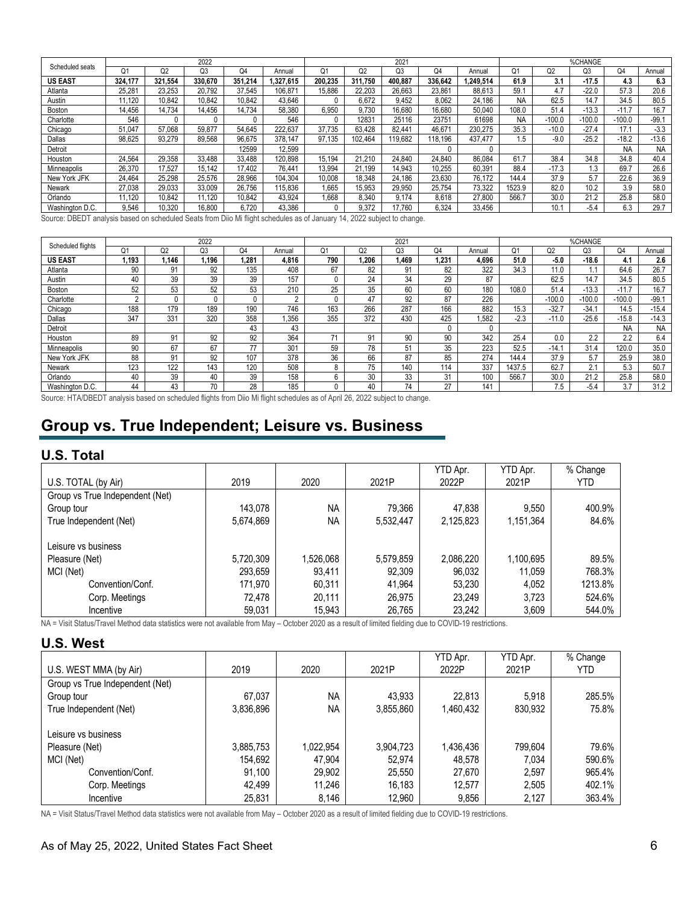|                 |                |                | 2022           |                |          |                |         | 2021            |                |          |           |                | %CHANGE  |                |           |
|-----------------|----------------|----------------|----------------|----------------|----------|----------------|---------|-----------------|----------------|----------|-----------|----------------|----------|----------------|-----------|
| Scheduled seats | O <sub>1</sub> | Q <sub>2</sub> | Q <sub>3</sub> | O <sub>4</sub> | Annual   | O <sub>1</sub> | Q2      | Q3              | O <sub>4</sub> | Annual   | 01        | Q <sub>2</sub> | O3       | Q <sub>4</sub> | Annual    |
| <b>US EAST</b>  | 324.177        | 321.554        | 330.670        | 351.214        | .327.615 | 200.235        | 311.750 | 400.887         | 336.642        | .249.514 | 61.9      | 3.1            | $-17.5$  | 4.3            | 6.3       |
| Atlanta         | 25.281         | 23.253         | 20.792         | 37.545         | 106.871  | 15.886         | 22.203  | 26.663          | 23.861         | 88.613   | 59.1      | 4.7            | $-22.0$  | 57.3           | 20.6      |
| Austin          | 1.120          | 10.842         | 10.842         | 10.842         | 43.646   |                | 6.672   | 9.452           | 8.062          | 24.186   | NA        | 62.5           | 14.7     | 34.5           | 80.5      |
| Boston          | 14.456         | 14.734         | 14.456         | 14.734         | 58.380   | 6.950          | 9.730   | 16.680          | 16,680         | 50.040   | 108.0     | 51.4           | $-13.3$  | $-11.7$        | 16.7      |
| Charlotte       | 546            |                | 0              |                | 546      |                | 12831   | 25116           | 23751          | 61698    | <b>NA</b> | $-100.0$       | $-100.0$ | $-100.0$       | $-99.1$   |
| Chicago         | .047<br>51.    | 57.068         | 59.877         | 54.645         | 222.637  | 37.735         | 63.428  | $82.44^{\circ}$ | 46.671         | 230.275  | 35.3      | $-10.0$        | $-27.4$  | 17.1           | $-3.3$    |
| Dallas          | 98.625         | 93.279         | 89.568         | 96.675         | 378.147  | 97.135         | 102.464 | 19.682          | 118.196        | 437.477  | .5        | $-9.0$         | $-25.2$  | $-18.2$        | $-13.6$   |
| Detroit         |                |                |                | 12599          | 12.599   |                |         |                 |                |          |           |                |          | <b>NA</b>      | <b>NA</b> |
| Houston         | 24.564         | 29.358         | 33.488         | 33.488         | 120.898  | 15.194         | 21.210  | 24.840          | 24.840         | 86.084   | 61.7      | 38.4           | 34.8     | 34.8           | 40.4      |
| Minneapolis     | 26.370         | 17.527         | 15.142         | 17.402         | 76.441   | 13.994         | 21.199  | 14.943          | 10.255         | 60.391   | 88.4      | $-17.3$        | 1.3      | 69.7           | 26.6      |
| New York JFK    | 24.464         | 25.298         | 25.576         | 28.966         | 104.304  | 10.008         | 18.348  | 24.186          | 23.630         | 76.172   | 144.4     | 37.9           | 5.7      | 22.6           | 36.9      |
| Newark          | 27.038         | 29.033         | 33.009         | 26.756         | 115.836  | .665           | 15.953  | 29.950          | 25.754         | 73.322   | 1523.9    | 82.0           | 10.2     | 3.9            | 58.0      |
| Orlando         | 1.120          | 10.842         | 11,120         | 10,842         | 43.924   | .668           | 8.340   | 9.174           | 8.618          | 27,800   | 566.7     | 30.0           | 21.2     | 25.8           | 58.0      |
| Washington D.C. | 9,546          | 10.320         | 16,800         | 6.720          | 43,386   |                | 9.372   | 17.760          | 6.324          | 33.456   |           | 10.            | $-5.4$   | 6.3            | 29.7      |

Source: DBEDT analysis based on scheduled Seats from Diio Mi flight schedules as of January 14, 2022 subject to change.

| Scheduled flights |        |                | 2022  |       |          |     |       | 2021  |              |        |        |                | %CHANGE        |           |           |
|-------------------|--------|----------------|-------|-------|----------|-----|-------|-------|--------------|--------|--------|----------------|----------------|-----------|-----------|
|                   | Ο1     | Q <sub>2</sub> | Q3    | Q4    | Annual   | О.  | Q2    | Q3    | Q4           | Annual | Q1     | O <sub>2</sub> | O <sub>3</sub> | Q4        | Annual    |
| <b>US EAST</b>    | 1.193  | 1.146          | 1.196 | 1.281 | 4.816    | 790 | 1.206 | 1.469 | 1.231        | 4.696  | 51.0   | $-5.0$         | $-18.6$        | 4.        | 2.6       |
| Atlanta           | 90     | 91             | 92    | 135   | 408      | 67  | 82    | 91    | 82           | 322    | 34.3   | 11.0           | IJ             | 64.6      | 26.7      |
| Austin            | 40     | 39             | 39    | 39    | 157      |     | 24    | 34    | 29           | 87     |        | 62.5           | 14.7           | 34.5      | 80.5      |
| Boston            | 52     | 53             | 52    | 53    | 210      | 25  | 35    | 60    | 60           | 180    | 108.0  | 51.4           | $-13.3$        | $-11.7$   | 16.7      |
| Charlotte         | $\sim$ |                | 0     |       | $\Omega$ |     | 47    | 92    | 87           | 226    |        | $-100.0$       | $-100.0$       | $-100.0$  | $-99.1$   |
| Chicago           | 188    | 179            | 189   | 190   | 746      | 163 | 266   | 287   | 166          | 882    | 15.3   | $-32.7$        | $-34.$         | 14.5      | $-15.4$   |
| Dallas            | 347    | 331            | 320   | 358   | .356     | 355 | 372   | 430   | 425          | ,582   | $-2.3$ | $-11.0$        | $-25.6$        | $-15.8$   | $-14.3$   |
| Detroit           |        |                |       | 43    | 43       |     |       |       | $\mathbf{0}$ |        |        |                |                | <b>NA</b> | <b>NA</b> |
| Houston           | 89     | 91             | 92    | 92    | 364      | 74  | 91    | 90    | 90           | 342    | 25.4   | 0.0            | 2.2            | 2.2       | 6.4       |
| Minneapolis       | 90     | 67             | 67    | 77    | 301      | 59  | 78    | 51    | 35           | 223    | 52.5   | $-14.7$        | 31.4           | 120.0     | 35.0      |
| New York JFK      | 88     | 91             | 92    | 107   | 378      | 36  | 66    | 87    | 85           | 274    | 144.4  | 37.9           | 5.7            | 25.9      | 38.0      |
| Newark            | 123    | 122            | 143   | 120   | 508      |     | 75    | 140   | 114          | 337    | 1437.5 | 62.7           | 2.1            | 5.3       | 50.7      |
| Orlando           | 40     | 39             | 40    | 39    | 158      |     | 30    | 33    | 31           | 100    | 566.7  | 30.0           | 21.2           | 25.8      | 58.0      |
| Washington D.C.   | 44     | 43             | 70    | 28    | 185      |     | 40    | 74    | 27           | 141    |        | 7.5            | $-5.4$         | 3.7       | 31.2      |

Source: HTA/DBEDT analysis based on scheduled flights from Diio Mi flight schedules as of April 26, 2022 subject to change.

# **Group vs. True Independent; Leisure vs. Business**

### **U.S. Total**

|                                 |           |           |           | YTD Apr.  | YTD Apr.  | % Change |
|---------------------------------|-----------|-----------|-----------|-----------|-----------|----------|
| U.S. TOTAL (by Air)             | 2019      | 2020      | 2021P     | 2022P     | 2021P     | YTD      |
| Group vs True Independent (Net) |           |           |           |           |           |          |
| Group tour                      | 143.078   | <b>NA</b> | 79.366    | 47.838    | 9.550     | 400.9%   |
| True Independent (Net)          | 5,674,869 | <b>NA</b> | 5,532,447 | 2,125,823 | 1,151,364 | 84.6%    |
|                                 |           |           |           |           |           |          |
| Leisure vs business             |           |           |           |           |           |          |
| Pleasure (Net)                  | 5,720,309 | 1,526,068 | 5,579,859 | 2,086,220 | 1,100,695 | 89.5%    |
| MCI (Net)                       | 293,659   | 93,411    | 92,309    | 96,032    | 11.059    | 768.3%   |
| Convention/Conf.                | 171.970   | 60.311    | 41.964    | 53,230    | 4.052     | 1213.8%  |
| Corp. Meetings                  | 72,478    | 20.111    | 26,975    | 23.249    | 3.723     | 524.6%   |
| Incentive                       | 59,031    | 15.943    | 26,765    | 23.242    | 3.609     | 544.0%   |

NA = Visit Status/Travel Method data statistics were not available from May – October 2020 as a result of limited fielding due to COVID-19 restrictions.

### **U.S. West**

|                                 |           |           |           | YTD Apr.  | YTD Apr. | % Change |
|---------------------------------|-----------|-----------|-----------|-----------|----------|----------|
| U.S. WEST MMA (by Air)          | 2019      | 2020      | 2021P     | 2022P     | 2021P    | YTD      |
| Group vs True Independent (Net) |           |           |           |           |          |          |
| Group tour                      | 67,037    | <b>NA</b> | 43,933    | 22,813    | 5.918    | 285.5%   |
| True Independent (Net)          | 3,836,896 | <b>NA</b> | 3,855,860 | 1,460,432 | 830.932  | 75.8%    |
|                                 |           |           |           |           |          |          |
| Leisure vs business             |           |           |           |           |          |          |
| Pleasure (Net)                  | 3,885,753 | 1,022,954 | 3,904,723 | 1,436,436 | 799,604  | 79.6%    |
| MCI (Net)                       | 154,692   | 47,904    | 52,974    | 48,578    | 7,034    | 590.6%   |
| Convention/Conf.                | 91,100    | 29,902    | 25,550    | 27,670    | 2,597    | 965.4%   |
| Corp. Meetings                  | 42,499    | 11.246    | 16,183    | 12.577    | 2,505    | 402.1%   |
| Incentive                       | 25,831    | 8,146     | 12,960    | 9,856     | 2.127    | 363.4%   |

NA = Visit Status/Travel Method data statistics were not available from May - October 2020 as a result of limited fielding due to COVID-19 restrictions.